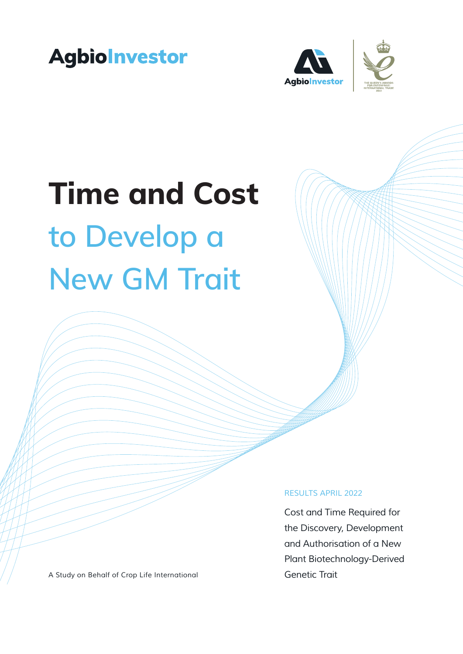





#### *RESULTS APRIL 2022*

*Cost and Time Required for the Discovery, Development and Authorisation of a New Plant Biotechnology-Derived Genetic Trait*

*A Study on Behalf of Crop Life International*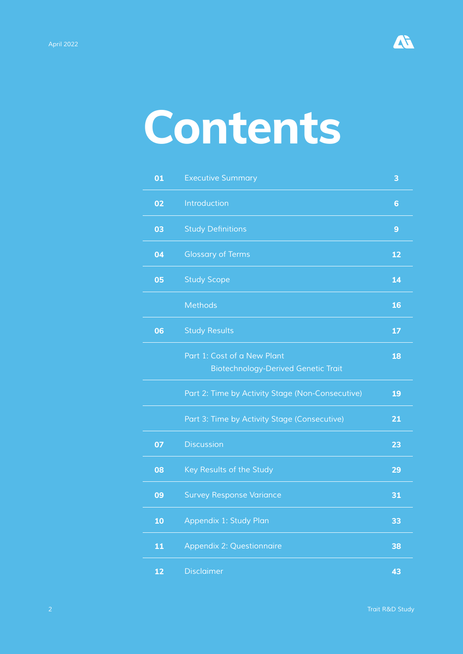

# **Contents**

| 01 | <b>Executive Summary</b>                                                  | 3  |
|----|---------------------------------------------------------------------------|----|
| 02 | Introduction                                                              | 6  |
| 03 | <b>Study Definitions</b>                                                  | 9  |
| 04 | <b>Glossary of Terms</b>                                                  | 12 |
| 05 | <b>Study Scope</b>                                                        | 14 |
|    | <b>Methods</b>                                                            | 16 |
| 06 | <b>Study Results</b>                                                      | 17 |
|    | Part 1: Cost of a New Plant<br><b>Biotechnology-Derived Genetic Trait</b> | 18 |
|    | Part 2: Time by Activity Stage (Non-Consecutive)                          | 19 |
|    | Part 3: Time by Activity Stage (Consecutive)                              | 21 |
| 07 | <b>Discussion</b>                                                         | 23 |
| 08 | Key Results of the Study                                                  | 29 |
| 09 | <b>Survey Response Variance</b>                                           | 31 |
| 10 | Appendix 1: Study Plan                                                    | 33 |
| 11 | <b>Appendix 2: Questionnaire</b>                                          | 38 |
| 12 | <b>Disclaimer</b>                                                         | 43 |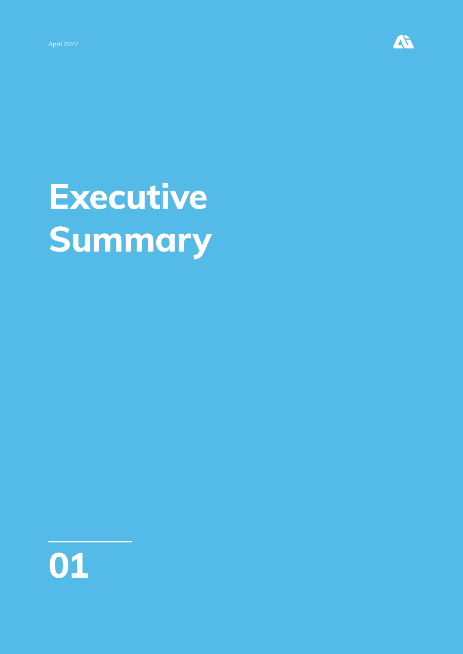

# **Executive Summary**

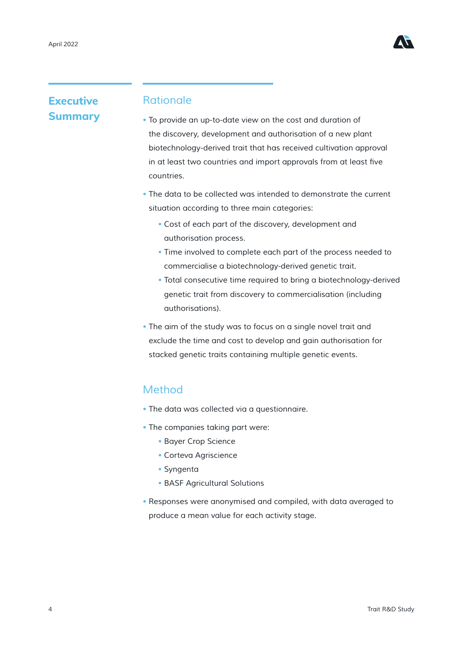

### **Executive Summary**

#### *Rationale*

- *To provide an up-to-date view on the cost and duration of the discovery, development and authorisation of a new plant biotechnology-derived trait that has received cultivation approval*  in at least two countries and import approvals from at least five *countries.*
- *The data to be collected was intended to demonstrate the current situation according to three main categories:*
	- *Cost of each part of the discovery, development and authorisation process.*
	- *Time involved to complete each part of the process needed to commercialise a biotechnology-derived genetic trait.*
	- *Total consecutive time required to bring a biotechnology-derived genetic trait from discovery to commercialisation (including authorisations).*
- *The aim of the study was to focus on a single novel trait and exclude the time and cost to develop and gain authorisation for stacked genetic traits containing multiple genetic events.*

#### *Method*

- *The data was collected via a questionnaire.*
- *The companies taking part were:*
	- *Bayer Crop Science*
	- *Corteva Agriscience*
	- *Syngenta*
	- *BASF Agricultural Solutions*
- *Responses were anonymised and compiled, with data averaged to produce a mean value for each activity stage.*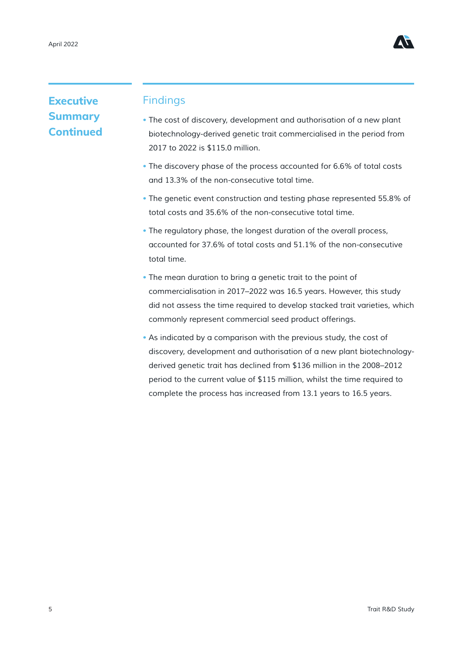

### **Executive Summary Continued**

#### *Findings*

- *The cost of discovery, development and authorisation of a new plant biotechnology-derived genetic trait commercialised in the period from 2017 to 2022 is \$115.0 million.*
- *The discovery phase of the process accounted for 6.6% of total costs and 13.3% of the non-consecutive total time.*
- *The genetic event construction and testing phase represented 55.8% of total costs and 35.6% of the non-consecutive total time.*
- *The regulatory phase, the longest duration of the overall process, accounted for 37.6% of total costs and 51.1% of the non-consecutive total time.*
- *The mean duration to bring a genetic trait to the point of commercialisation in 2017–2022 was 16.5 years. However, this study did not assess the time required to develop stacked trait varieties, which commonly represent commercial seed product offerings.*
- As indicated by a comparison with the previous study, the cost of *discovery, development and authorisation of a new plant biotechnologyderived genetic trait has declined from \$136 million in the 2008–2012 period to the current value of \$115 million, whilst the time required to complete the process has increased from 13.1 years to 16.5 years.*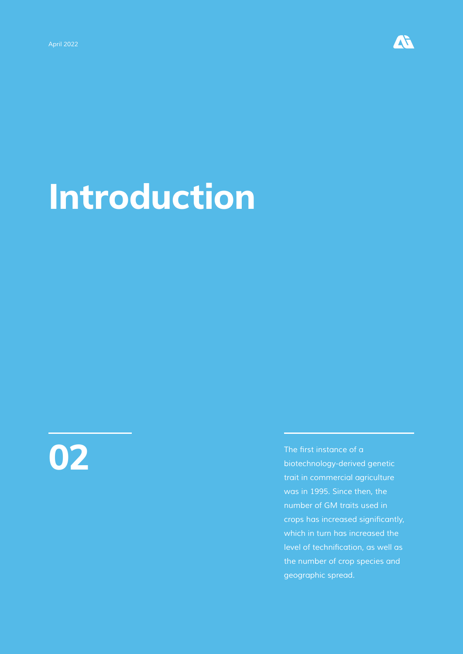

# **Introduction**



**02** The first instance of a biotechnology-derived *biotechnology-derived genetic trait in commercial agriculture was in 1995. Since then, the number of GM traits used in*  crops has increased significantly, *which in turn has increased the*  level of technification, as well as *the number of crop species and geographic spread.*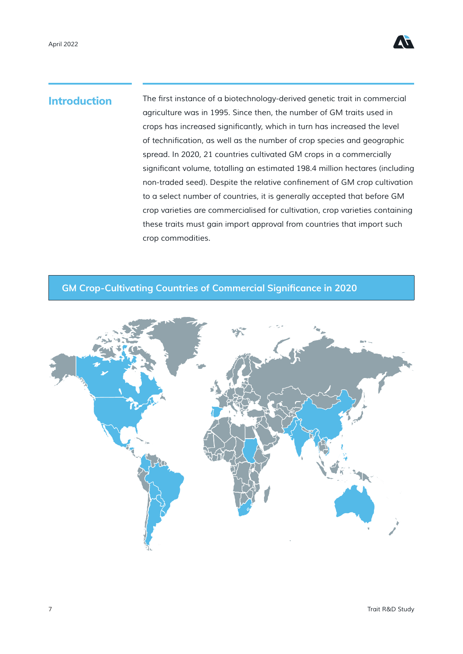

**Introduction** The first instance of a biotechnology-derived genetic trait in commercial *agriculture was in 1995. Since then, the number of GM traits used in*  crops has increased significantly, which in turn has increased the level of technification, as well as the number of crop species and geographic *spread. In 2020, 21 countries cultivated GM crops in a commercially*  significant volume, totalling an estimated 198.4 million hectares (including non-traded seed). Despite the relative confinement of GM crop cultivation *to a select number of countries, it is generally accepted that before GM crop varieties are commercialised for cultivation, crop varieties containing these traits must gain import approval from countries that import such crop commodities.*

#### **GM Crop-Cultivating Countries of Commercial Significance in 2020**

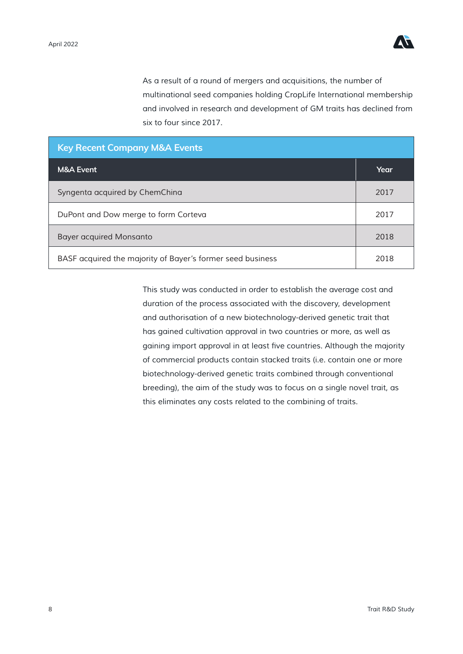

*As a result of a round of mergers and acquisitions, the number of multinational seed companies holding CropLife International membership and involved in research and development of GM traits has declined from six to four since 2017.*

| <b>Key Recent Company M&amp;A Events</b>                   |      |  |  |  |  |  |
|------------------------------------------------------------|------|--|--|--|--|--|
| <b>M&amp;A Event</b>                                       | Year |  |  |  |  |  |
| Syngenta acquired by ChemChina                             | 2017 |  |  |  |  |  |
| DuPont and Dow merge to form Corteva                       | 2017 |  |  |  |  |  |
| <b>Bayer acquired Monsanto</b>                             | 2018 |  |  |  |  |  |
| BASF acquired the majority of Bayer's former seed business | 2018 |  |  |  |  |  |

*This study was conducted in order to establish the average cost and duration of the process associated with the discovery, development and authorisation of a new biotechnology-derived genetic trait that has gained cultivation approval in two countries or more, as well as*  gaining import approval in at least five countries. Although the majority *of commercial products contain stacked traits (i.e. contain one or more biotechnology-derived genetic traits combined through conventional breeding), the aim of the study was to focus on a single novel trait, as this eliminates any costs related to the combining of traits.*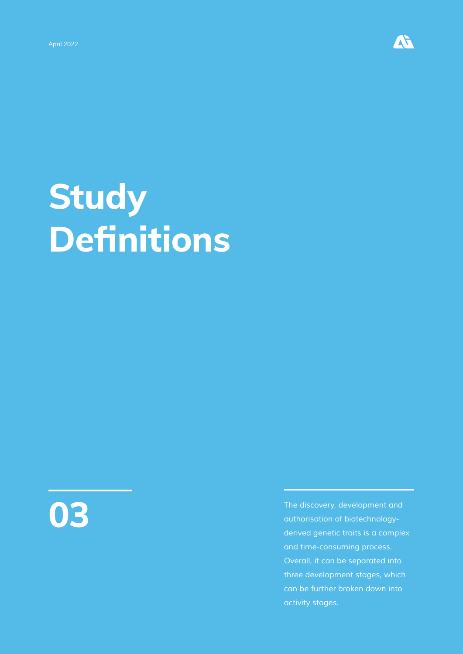

# **Study Definitions**



*The discovery, development and authorisation of biotechnologyderived genetic traits is a complex and time-consuming process. Overall, it can be separated into three development stages, which can be further broken down into activity stages.*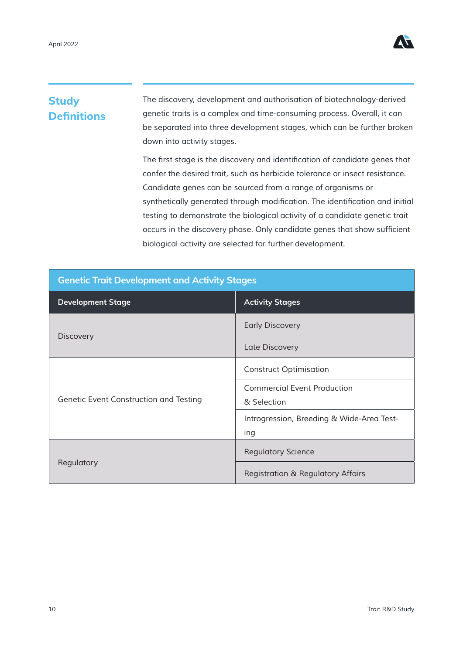

### **Study Definitions**

*The discovery, development and authorisation of biotechnology-derived genetic traits is a complex and time-consuming process. Overall, it can be separated into three development stages, which can be further broken down into activity stages.*

The first stage is the discovery and identification of candidate genes that *confer the desired trait, such as herbicide tolerance or insect resistance. Candidate genes can be sourced from a range of organisms or*  synthetically generated through modification. The identification and initial *testing to demonstrate the biological activity of a candidate genetic trait*  occurs in the discovery phase. Only candidate genes that show sufficient *biological activity are selected for further development.*

| <b>Genetic Trait Development and Activity Stages</b> |                                              |  |  |  |  |  |  |
|------------------------------------------------------|----------------------------------------------|--|--|--|--|--|--|
| <b>Development Stage</b>                             | <b>Activity Stages</b>                       |  |  |  |  |  |  |
|                                                      | <b>Early Discovery</b>                       |  |  |  |  |  |  |
| <b>Discovery</b>                                     | Late Discovery                               |  |  |  |  |  |  |
|                                                      | <b>Construct Optimisation</b>                |  |  |  |  |  |  |
|                                                      | <b>Commercial Event Production</b>           |  |  |  |  |  |  |
| Genetic Event Construction and Testing               | & Selection                                  |  |  |  |  |  |  |
|                                                      | Introgression, Breeding & Wide-Area Test-    |  |  |  |  |  |  |
|                                                      | ing                                          |  |  |  |  |  |  |
|                                                      | <b>Regulatory Science</b>                    |  |  |  |  |  |  |
| Regulatory                                           | <b>Registration &amp; Regulatory Affairs</b> |  |  |  |  |  |  |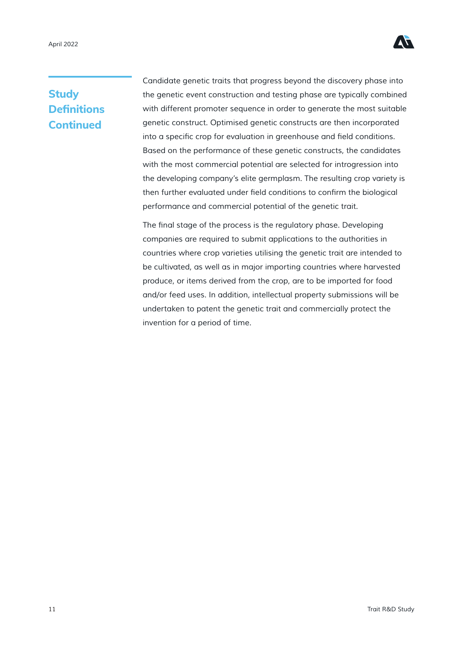

### **Study Definitions Continued**

*Candidate genetic traits that progress beyond the discovery phase into the genetic event construction and testing phase are typically combined with different promoter sequence in order to generate the most suitable genetic construct. Optimised genetic constructs are then incorporated*  into a specific crop for evaluation in greenhouse and field conditions. *Based on the performance of these genetic constructs, the candidates with the most commercial potential are selected for introgression into*  the developing company's elite germplasm. The resulting crop variety is then further evaluated under field conditions to confirm the biological *performance and commercial potential of the genetic trait.*

The final stage of the process is the regulatory phase. Developing *companies are required to submit applications to the authorities in countries where crop varieties utilising the genetic trait are intended to*  be cultivated, as well as in major importing countries where harvested *produce, or items derived from the crop, are to be imported for food and/or feed uses. In addition, intellectual property submissions will be undertaken to patent the genetic trait and commercially protect the invention for a period of time.*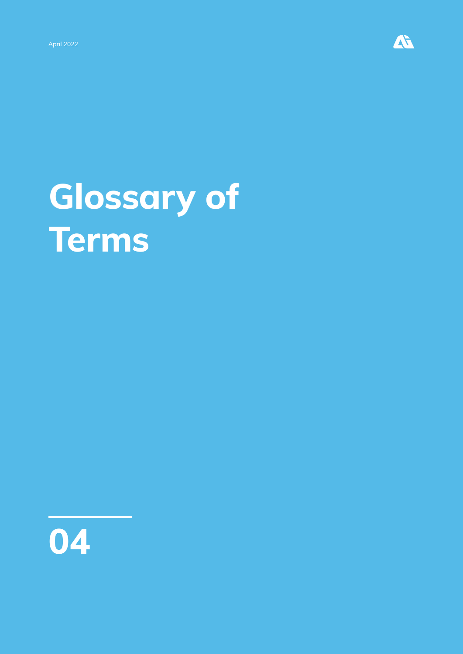

# **Glossary of Terms**

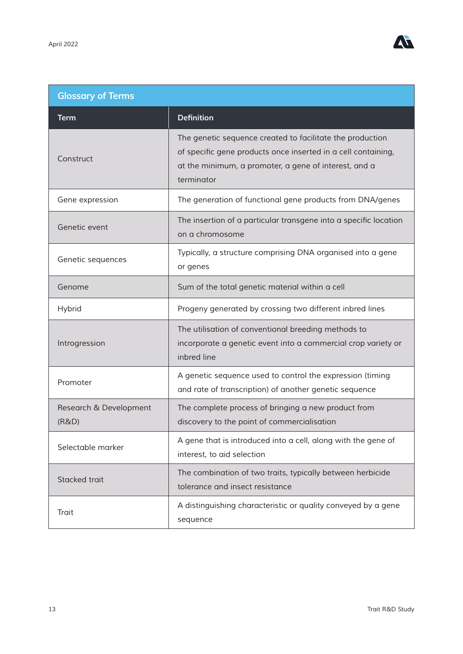

| <b>Glossary of Terms</b>        |                                                                                                                                                                                                   |  |  |  |  |  |  |
|---------------------------------|---------------------------------------------------------------------------------------------------------------------------------------------------------------------------------------------------|--|--|--|--|--|--|
| Term                            | <b>Definition</b>                                                                                                                                                                                 |  |  |  |  |  |  |
| Construct                       | The genetic sequence created to facilitate the production<br>of specific gene products once inserted in a cell containing,<br>at the minimum, a promoter, a gene of interest, and a<br>terminator |  |  |  |  |  |  |
| Gene expression                 | The generation of functional gene products from DNA/genes                                                                                                                                         |  |  |  |  |  |  |
| Genetic event                   | The insertion of a particular transgene into a specific location<br>on a chromosome                                                                                                               |  |  |  |  |  |  |
| Genetic sequences               | Typically, a structure comprising DNA organised into a gene<br>or genes                                                                                                                           |  |  |  |  |  |  |
| Genome                          | Sum of the total genetic material within a cell                                                                                                                                                   |  |  |  |  |  |  |
| Hybrid                          | Progeny generated by crossing two different inbred lines                                                                                                                                          |  |  |  |  |  |  |
| Introgression                   | The utilisation of conventional breeding methods to<br>incorporate a genetic event into a commercial crop variety or<br>inbred line                                                               |  |  |  |  |  |  |
| Promoter                        | A genetic sequence used to control the expression (timing<br>and rate of transcription) of another genetic sequence                                                                               |  |  |  |  |  |  |
| Research & Development<br>(R&D) | The complete process of bringing a new product from<br>discovery to the point of commercialisation                                                                                                |  |  |  |  |  |  |
| Selectable marker               | A gene that is introduced into a cell, along with the gene of<br>interest, to aid selection                                                                                                       |  |  |  |  |  |  |
| Stacked trait                   | The combination of two traits, typically between herbicide<br>tolerance and insect resistance                                                                                                     |  |  |  |  |  |  |
| Trait                           | A distinguishing characteristic or quality conveyed by a gene<br>sequence                                                                                                                         |  |  |  |  |  |  |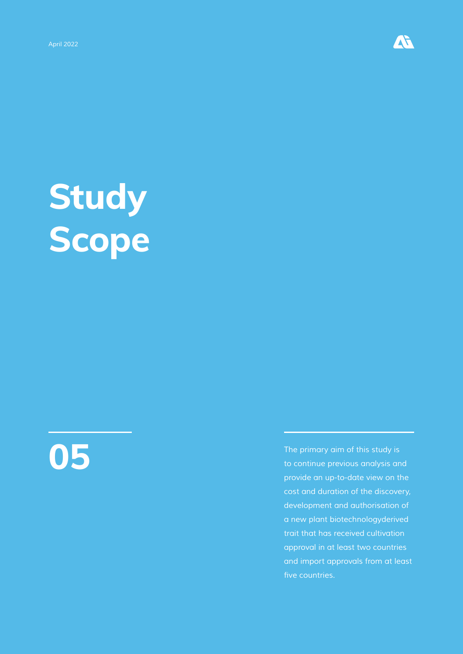

# **Study Scope**

**05**

*The primary aim of this study is to continue previous analysis and provide an up-to-date view on the cost and duration of the discovery, development and authorisation of a new plant biotechnologyderived trait that has received cultivation approval in at least two countries and import approvals from at least*  five countries.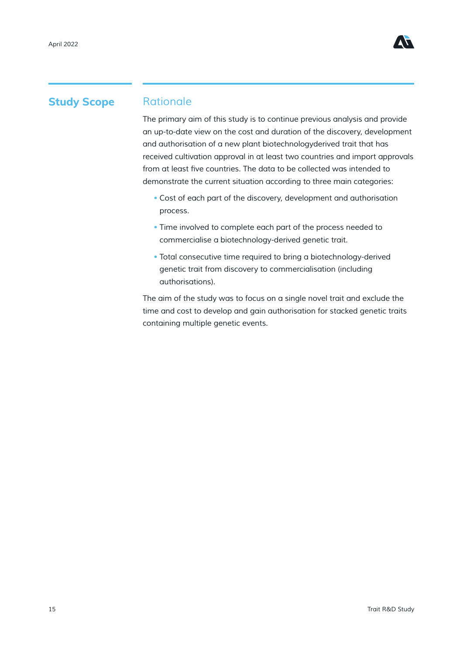

#### **Study Scope**

#### *Rationale*

*The primary aim of this study is to continue previous analysis and provide an up-to-date view on the cost and duration of the discovery, development and authorisation of a new plant biotechnologyderived trait that has received cultivation approval in at least two countries and import approvals*  from at least five countries. The data to be collected was intended to *demonstrate the current situation according to three main categories:*

- *Cost of each part of the discovery, development and authorisation process.*
- *• Time involved to complete each part of the process needed to commercialise a biotechnology-derived genetic trait.*
- *Total consecutive time required to bring a biotechnology-derived genetic trait from discovery to commercialisation (including authorisations).*

*The aim of the study was to focus on a single novel trait and exclude the time and cost to develop and gain authorisation for stacked genetic traits containing multiple genetic events.*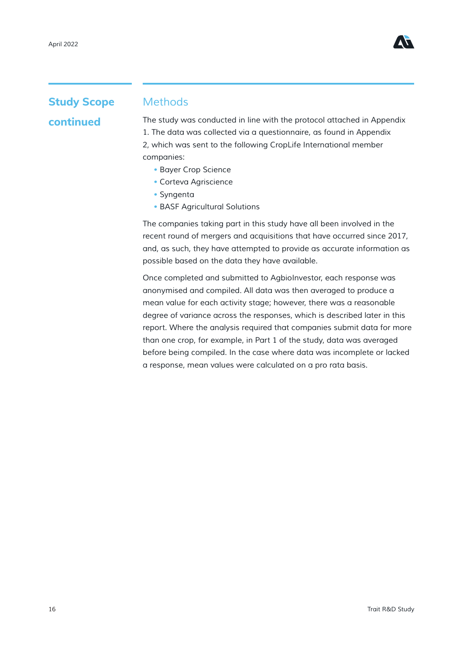

## **Study Scope continued**

#### *Methods*

*The study was conducted in line with the protocol attached in Appendix 1. The data was collected via a questionnaire, as found in Appendix 2, which was sent to the following CropLife International member companies:*

- *Bayer Crop Science*
- *Corteva Agriscience*
- *Syngenta*
- *BASF Agricultural Solutions*

*The companies taking part in this study have all been involved in the recent round of mergers and acquisitions that have occurred since 2017, and, as such, they have attempted to provide as accurate information as possible based on the data they have available.*

*Once completed and submitted to AgbioInvestor, each response was anonymised and compiled. All data was then averaged to produce a mean value for each activity stage; however, there was a reasonable degree of variance across the responses, which is described later in this report. Where the analysis required that companies submit data for more than one crop, for example, in Part 1 of the study, data was averaged before being compiled. In the case where data was incomplete or lacked a response, mean values were calculated on a pro rata basis.*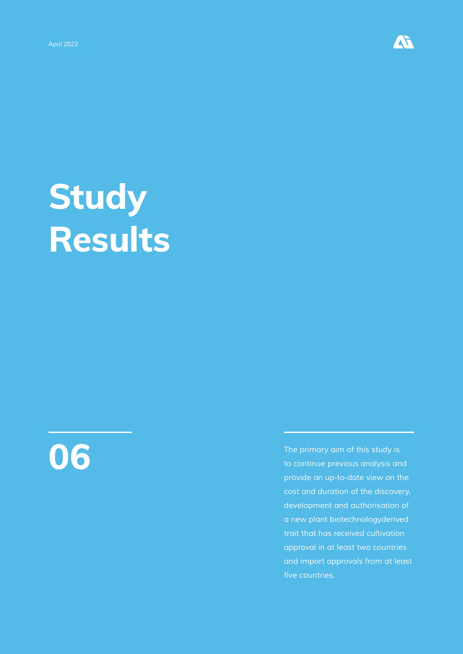

# **Study Results**



*The primary aim of this study is to continue previous analysis and provide an up-to-date view on the cost and duration of the discovery, development and authorisation of a new plant biotechnologyderived trait that has received cultivation approval in at least two countries and import approvals from at least*  five countries.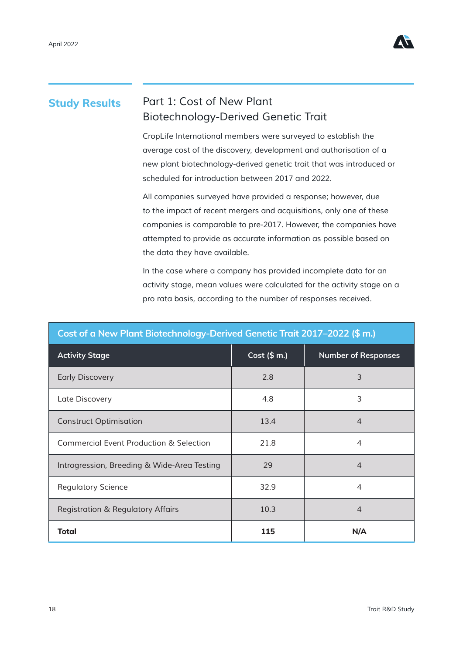

#### *Part 1: Cost of New Plant Biotechnology-Derived Genetic Trait* **Study Results**

*CropLife International members were surveyed to establish the average cost of the discovery, development and authorisation of a new plant biotechnology-derived genetic trait that was introduced or scheduled for introduction between 2017 and 2022.* 

*All companies surveyed have provided a response; however, due to the impact of recent mergers and acquisitions, only one of these companies is comparable to pre-2017. However, the companies have attempted to provide as accurate information as possible based on the data they have available.*

*In the case where a company has provided incomplete data for an activity stage, mean values were calculated for the activity stage on a pro rata basis, according to the number of responses received.*

| والمالح المائد المتحالف الموالي الموالية المسائلة والمتحالف المناقبة والموالية<br>-27 |              |                            |  |  |  |  |  |  |  |  |
|---------------------------------------------------------------------------------------|--------------|----------------------------|--|--|--|--|--|--|--|--|
| <b>Activity Stage</b>                                                                 | Cost $($m.)$ | <b>Number of Responses</b> |  |  |  |  |  |  |  |  |
| <b>Early Discovery</b>                                                                | 2.8          | 3                          |  |  |  |  |  |  |  |  |
| Late Discovery                                                                        | 4.8          | 3                          |  |  |  |  |  |  |  |  |
| <b>Construct Optimisation</b>                                                         | 13.4         | $\overline{4}$             |  |  |  |  |  |  |  |  |
| <b>Commercial Event Production &amp; Selection</b>                                    | 21.8         | $\overline{4}$             |  |  |  |  |  |  |  |  |
| Introgression, Breeding & Wide-Area Testing                                           | 29           | $\overline{4}$             |  |  |  |  |  |  |  |  |
| <b>Regulatory Science</b>                                                             | 32.9         | $\overline{4}$             |  |  |  |  |  |  |  |  |
| <b>Registration &amp; Regulatory Affairs</b>                                          | 10.3         | $\overline{4}$             |  |  |  |  |  |  |  |  |
| <b>Total</b>                                                                          | 115          | N/A                        |  |  |  |  |  |  |  |  |

#### **Cost of a New Plant Biotechnology-Derived Genetic Trait 2017–2022 (\$ m.)**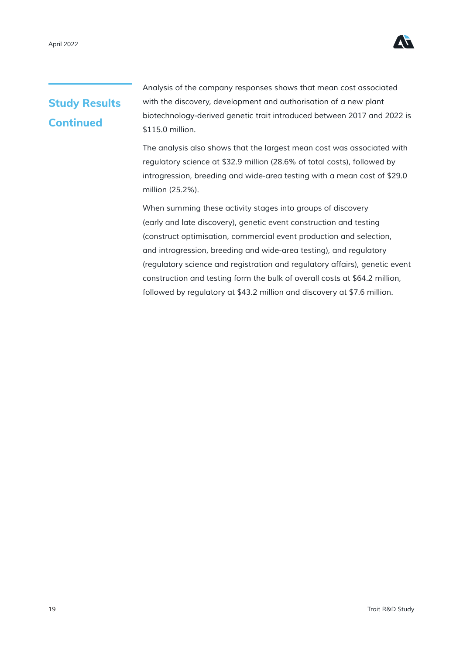

## **Study Results Continued**

*Analysis of the company responses shows that mean cost associated with the discovery, development and authorisation of a new plant biotechnology-derived genetic trait introduced between 2017 and 2022 is \$115.0 million.*

*The analysis also shows that the largest mean cost was associated with regulatory science at \$32.9 million (28.6% of total costs), followed by introgression, breeding and wide-area testing with a mean cost of \$29.0 million (25.2%).*

*When summing these activity stages into groups of discovery (early and late discovery), genetic event construction and testing (construct optimisation, commercial event production and selection, and introgression, breeding and wide-area testing), and regulatory (regulatory science and registration and regulatory affairs), genetic event construction and testing form the bulk of overall costs at \$64.2 million, followed by regulatory at \$43.2 million and discovery at \$7.6 million.*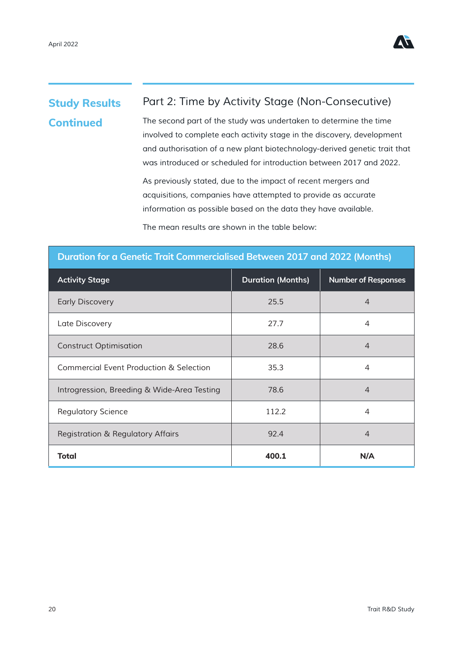

### **Study Results Continued**

#### *Part 2: Time by Activity Stage (Non-Consecutive)*

*The second part of the study was undertaken to determine the time involved to complete each activity stage in the discovery, development and authorisation of a new plant biotechnology-derived genetic trait that was introduced or scheduled for introduction between 2017 and 2022.*

*As previously stated, due to the impact of recent mergers and acquisitions, companies have attempted to provide as accurate information as possible based on the data they have available.*

*The mean results are shown in the table below:*

| Duration for a Genetic Trait Commercialised Between 2017 and 2022 (Months) |                          |                            |  |  |  |  |  |  |  |
|----------------------------------------------------------------------------|--------------------------|----------------------------|--|--|--|--|--|--|--|
| <b>Activity Stage</b>                                                      | <b>Duration (Months)</b> | <b>Number of Responses</b> |  |  |  |  |  |  |  |
| <b>Early Discovery</b>                                                     | 25.5                     | $\overline{4}$             |  |  |  |  |  |  |  |
| Late Discovery                                                             | 27.7                     | 4                          |  |  |  |  |  |  |  |
| <b>Construct Optimisation</b>                                              | 28.6                     | 4                          |  |  |  |  |  |  |  |
| <b>Commercial Event Production &amp; Selection</b>                         | 35.3                     | 4                          |  |  |  |  |  |  |  |
| Introgression, Breeding & Wide-Area Testing                                | 78.6                     | $\overline{4}$             |  |  |  |  |  |  |  |
| <b>Regulatory Science</b>                                                  | 112.2                    | $\overline{4}$             |  |  |  |  |  |  |  |
| <b>Registration &amp; Regulatory Affairs</b>                               | 92.4                     | $\overline{4}$             |  |  |  |  |  |  |  |
| <b>Total</b>                                                               | 400.1                    | N/A                        |  |  |  |  |  |  |  |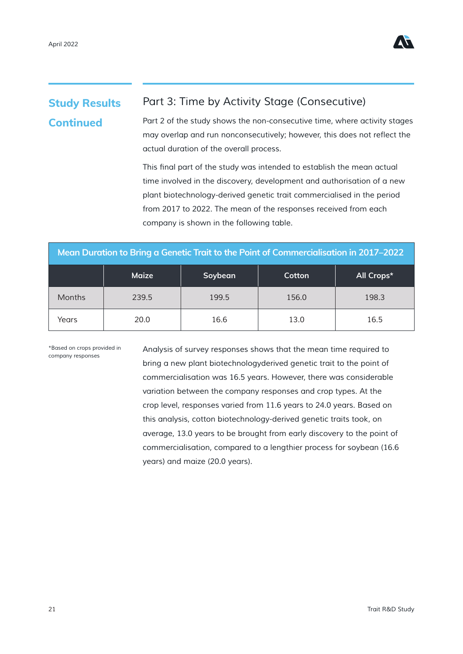

#### *Part 3: Time by Activity Stage (Consecutive) Part 2 of the study shows the non-consecutive time, where activity stages*  may overlap and run nonconsecutively; however, this does not reflect the **Study Results Continued**

*actual duration of the overall process.*

This final part of the study was intended to establish the mean actual *time involved in the discovery, development and authorisation of a new plant biotechnology-derived genetic trait commercialised in the period from 2017 to 2022. The mean of the responses received from each company is shown in the following table.*

| Mean Duration to Bring a Genetic Trait to the Point of Commercialisation in 2017–2022 |       |       |       |       |  |  |  |  |  |
|---------------------------------------------------------------------------------------|-------|-------|-------|-------|--|--|--|--|--|
| <b>Maize</b><br>All Crops*<br>Soybean<br>Cotton                                       |       |       |       |       |  |  |  |  |  |
| Months                                                                                | 239.5 | 199.5 | 156.0 | 198.3 |  |  |  |  |  |
| Years                                                                                 | 20.0  | 16.6  | 13.0  | 16.5  |  |  |  |  |  |

*\*Based on crops provided in company responses*

*Analysis of survey responses shows that the mean time required to bring a new plant biotechnologyderived genetic trait to the point of commercialisation was 16.5 years. However, there was considerable variation between the company responses and crop types. At the crop level, responses varied from 11.6 years to 24.0 years. Based on this analysis, cotton biotechnology-derived genetic traits took, on average, 13.0 years to be brought from early discovery to the point of commercialisation, compared to a lengthier process for soybean (16.6 years) and maize (20.0 years).*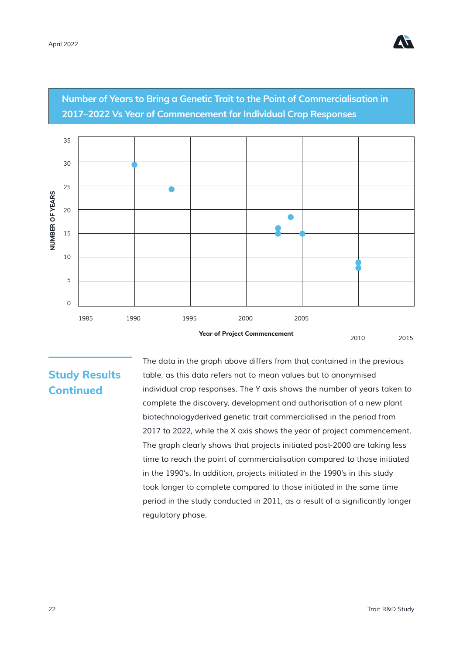

**Number of Years to Bring a Genetic Trait to the Point of Commercialisation in 2017–2022 Vs Year of Commencement for Individual Crop Responses**



### **Study Results Continued**

*The data in the graph above differs from that contained in the previous table, as this data refers not to mean values but to anonymised individual crop responses. The Y axis shows the number of years taken to complete the discovery, development and authorisation of a new plant biotechnologyderived genetic trait commercialised in the period from*  2017 to 2022, while the X axis shows the year of project commencement. The graph clearly shows that projects initiated post-2000 are taking less *time to reach the point of commercialisation compared to those initiated*  in the 1990's. In addition, projects initiated in the 1990's in this study *took longer to complete compared to those initiated in the same time*  period in the study conducted in 2011, as a result of a significantly longer *regulatory phase.*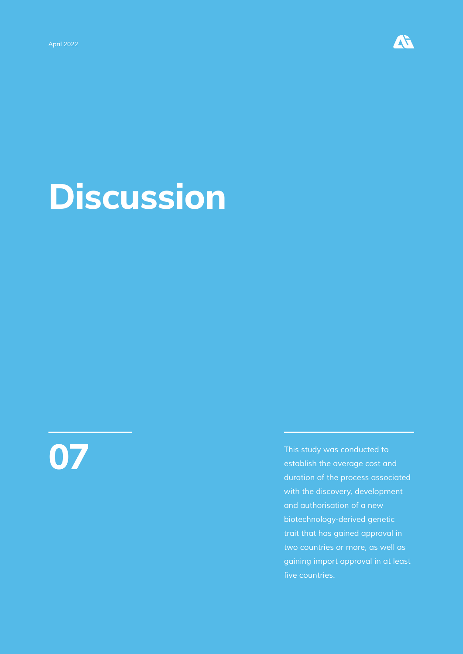

# **Discussion**

**07**

*This study was conducted to establish the average cost and duration of the process associated with the discovery, development and authorisation of a new biotechnology-derived genetic trait that has gained approval in two countries or more, as well as gaining import approval in at least*  five countries.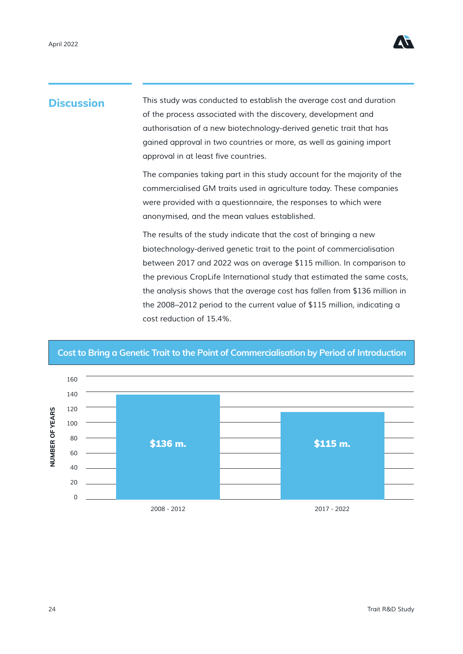

### **Discussion**

*This study was conducted to establish the average cost and duration of the process associated with the discovery, development and authorisation of a new biotechnology-derived genetic trait that has gained approval in two countries or more, as well as gaining import*  approval in at least five countries.

The companies taking part in this study account for the majority of the *commercialised GM traits used in agriculture today. These companies were provided with a questionnaire, the responses to which were anonymised, and the mean values established.*

*The results of the study indicate that the cost of bringing a new biotechnology-derived genetic trait to the point of commercialisation between 2017 and 2022 was on average \$115 million. In comparison to the previous CropLife International study that estimated the same costs, the analysis shows that the average cost has fallen from \$136 million in the 2008–2012 period to the current value of \$115 million, indicating a cost reduction of 15.4%.*



#### **Cost to Bring a Genetic Trait to the Point of Commercialisation by Period of Introduction**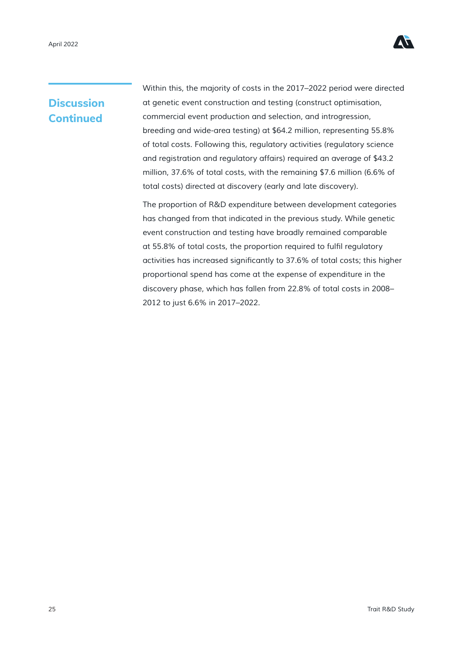

Within this, the majority of costs in the 2017–2022 period were directed *at genetic event construction and testing (construct optimisation, commercial event production and selection, and introgression, breeding and wide-area testing) at \$64.2 million, representing 55.8% of total costs. Following this, regulatory activities (regulatory science and registration and regulatory affairs) required an average of \$43.2 million, 37.6% of total costs, with the remaining \$7.6 million (6.6% of total costs) directed at discovery (early and late discovery).*

*The proportion of R&D expenditure between development categories has changed from that indicated in the previous study. While genetic event construction and testing have broadly remained comparable*  at 55.8% of total costs, the proportion required to fulfil regulatory activities has increased significantly to 37.6% of total costs; this higher *proportional spend has come at the expense of expenditure in the discovery phase, which has fallen from 22.8% of total costs in 2008–* 2012 to just 6.6% in 2017–2022.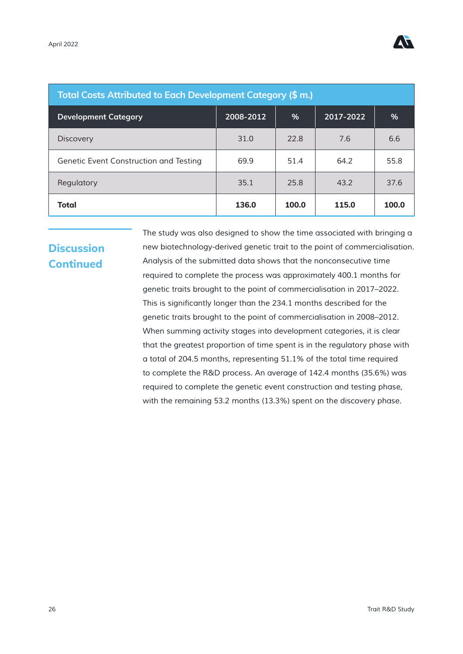

| <b>Total Costs Attributed to Each Development Category (\$ m.)</b> |           |       |           |       |  |  |  |  |  |
|--------------------------------------------------------------------|-----------|-------|-----------|-------|--|--|--|--|--|
| <b>Development Category</b>                                        | 2008-2012 | %     | 2017-2022 | %     |  |  |  |  |  |
| <b>Discovery</b>                                                   | 31.0      | 22.8  | 7.6       | 6.6   |  |  |  |  |  |
| Genetic Event Construction and Testing                             | 69.9      | 51.4  | 64.2      | 55.8  |  |  |  |  |  |
| Regulatory                                                         | 35.1      | 25.8  | 43.2      | 37.6  |  |  |  |  |  |
| Total                                                              | 136.0     | 100.0 | 115.0     | 100.0 |  |  |  |  |  |

*The study was also designed to show the time associated with bringing a new biotechnology-derived genetic trait to the point of commercialisation. Analysis of the submitted data shows that the nonconsecutive time required to complete the process was approximately 400.1 months for genetic traits brought to the point of commercialisation in 2017–2022.*  This is significantly longer than the 234.1 months described for the *genetic traits brought to the point of commercialisation in 2008–2012. When summing activity stages into development categories, it is clear that the greatest proportion of time spent is in the regulatory phase with a total of 204.5 months, representing 51.1% of the total time required to complete the R&D process. An average of 142.4 months (35.6%) was required to complete the genetic event construction and testing phase, with the remaining 53.2 months (13.3%) spent on the discovery phase.*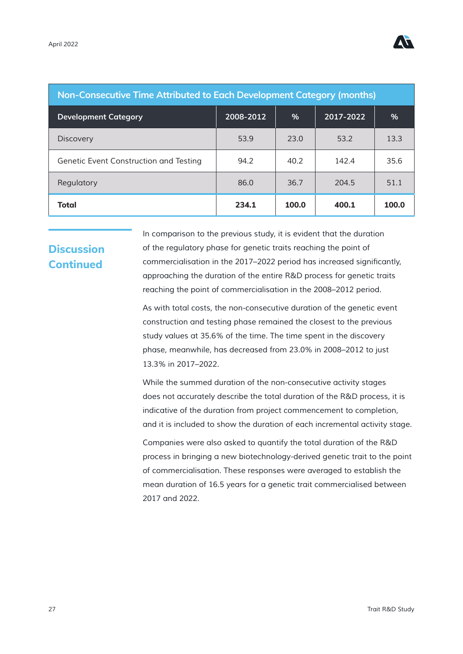

| <b>Non-Consecutive Time Attributed to Each Development Category (months)</b> |                         |       |           |               |  |  |  |  |  |
|------------------------------------------------------------------------------|-------------------------|-------|-----------|---------------|--|--|--|--|--|
| <b>Development Category</b>                                                  | $\overline{2008}$ -2012 | $\%$  | 2017-2022 | $\frac{0}{0}$ |  |  |  |  |  |
| <b>Discovery</b>                                                             | 53.9                    | 23.0  | 53.2      | 13.3          |  |  |  |  |  |
| Genetic Event Construction and Testing                                       | 94.2                    | 40.2  | 142.4     | 35.6          |  |  |  |  |  |
| Regulatory                                                                   | 86.0                    | 36.7  | 204.5     | 51.1          |  |  |  |  |  |
| <b>Total</b>                                                                 | 234.1                   | 100.0 | 400.1     | 100.0         |  |  |  |  |  |

*In comparison to the previous study, it is evident that the duration of the regulatory phase for genetic traits reaching the point of*  commercialisation in the 2017–2022 period has increased significantly, *approaching the duration of the entire R&D process for genetic traits reaching the point of commercialisation in the 2008–2012 period.*

*As with total costs, the non-consecutive duration of the genetic event construction and testing phase remained the closest to the previous study values at 35.6% of the time. The time spent in the discovery*  phase, meanwhile, has decreased from 23.0% in 2008–2012 to just *13.3% in 2017–2022.*

*While the summed duration of the non-consecutive activity stages does not accurately describe the total duration of the R&D process, it is*  indicative of the duration from project commencement to completion, *and it is included to show the duration of each incremental activity stage.*

*Companies were also asked to quantify the total duration of the R&D process in bringing a new biotechnology-derived genetic trait to the point of commercialisation. These responses were averaged to establish the mean duration of 16.5 years for a genetic trait commercialised between 2017 and 2022.*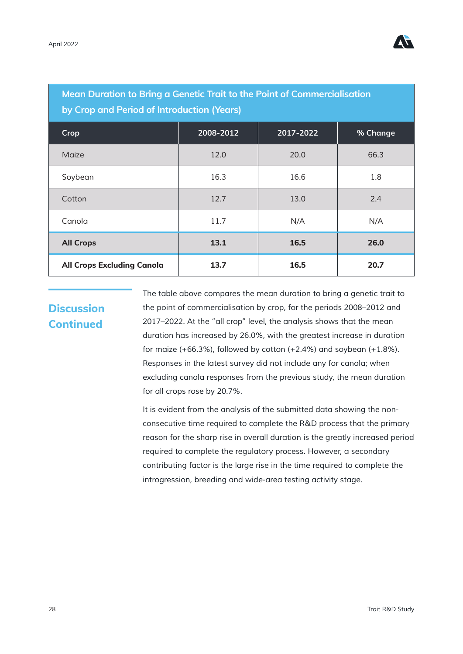

| Mean Duration to Bring a Genetic Trait to the Point of Commercialisation<br>by Crop and Period of Introduction (Years) |      |      |      |  |  |  |  |  |  |
|------------------------------------------------------------------------------------------------------------------------|------|------|------|--|--|--|--|--|--|
| 2008-2012<br>2017-2022<br>Crop<br>% Change                                                                             |      |      |      |  |  |  |  |  |  |
| Maize                                                                                                                  | 12.0 | 20.0 | 66.3 |  |  |  |  |  |  |
| Soybean                                                                                                                | 16.3 | 16.6 | 1.8  |  |  |  |  |  |  |
| Cotton                                                                                                                 | 12.7 | 13.0 | 2.4  |  |  |  |  |  |  |
| Canola                                                                                                                 | 11.7 | N/A  | N/A  |  |  |  |  |  |  |
| <b>All Crops</b>                                                                                                       | 13.1 | 16.5 | 26.0 |  |  |  |  |  |  |
| <b>All Crops Excluding Canola</b>                                                                                      | 13.7 | 16.5 | 20.7 |  |  |  |  |  |  |

*The table above compares the mean duration to bring a genetic trait to the point of commercialisation by crop, for the periods 2008–2012 and 2017–2022. At the "all crop" level, the analysis shows that the mean duration has increased by 26.0%, with the greatest increase in duration for maize (+66.3%), followed by cotton (+2.4%) and soybean (+1.8%). Responses in the latest survey did not include any for canola; when excluding canola responses from the previous study, the mean duration for all crops rose by 20.7%.*

*It is evident from the analysis of the submitted data showing the nonconsecutive time required to complete the R&D process that the primary reason for the sharp rise in overall duration is the greatly increased period required to complete the regulatory process. However, a secondary contributing factor is the large rise in the time required to complete the introgression, breeding and wide-area testing activity stage.*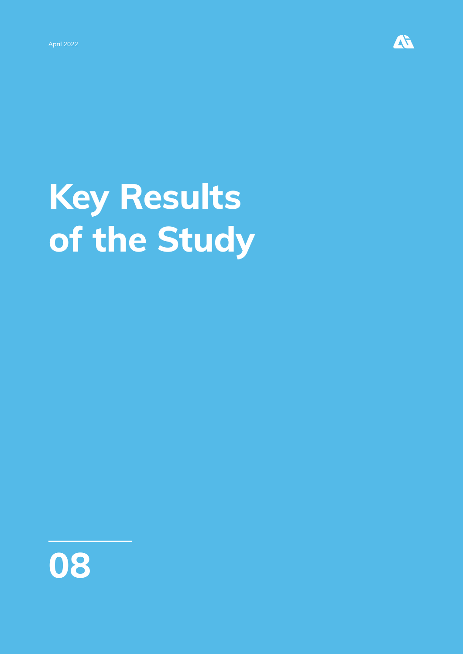

# **Key Results of the Study**

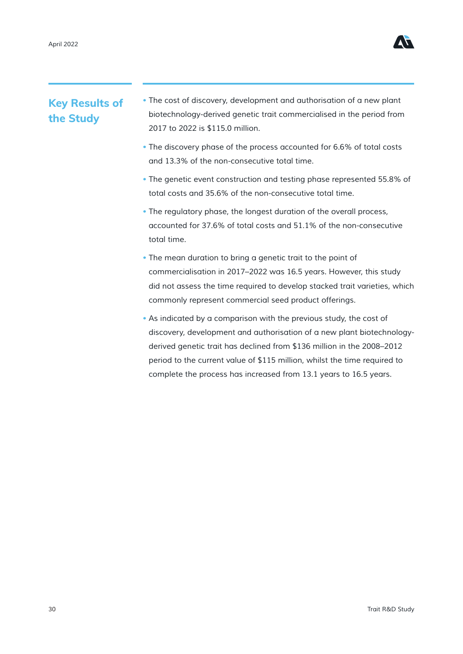

#### **Key Results of the Study**

- *The cost of discovery, development and authorisation of a new plant biotechnology-derived genetic trait commercialised in the period from 2017 to 2022 is \$115.0 million.*
- *The discovery phase of the process accounted for 6.6% of total costs and 13.3% of the non-consecutive total time.*
- *The genetic event construction and testing phase represented 55.8% of total costs and 35.6% of the non-consecutive total time.*
- *The regulatory phase, the longest duration of the overall process, accounted for 37.6% of total costs and 51.1% of the non-consecutive total time.*
- *The mean duration to bring a genetic trait to the point of commercialisation in 2017–2022 was 16.5 years. However, this study did not assess the time required to develop stacked trait varieties, which commonly represent commercial seed product offerings.*
- As indicated by a comparison with the previous study, the cost of *discovery, development and authorisation of a new plant biotechnologyderived genetic trait has declined from \$136 million in the 2008–2012 period to the current value of \$115 million, whilst the time required to complete the process has increased from 13.1 years to 16.5 years.*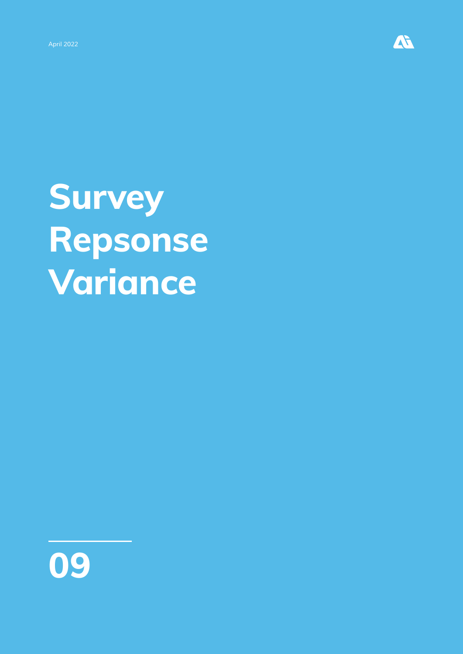

# **Survey Repsonse Variance**

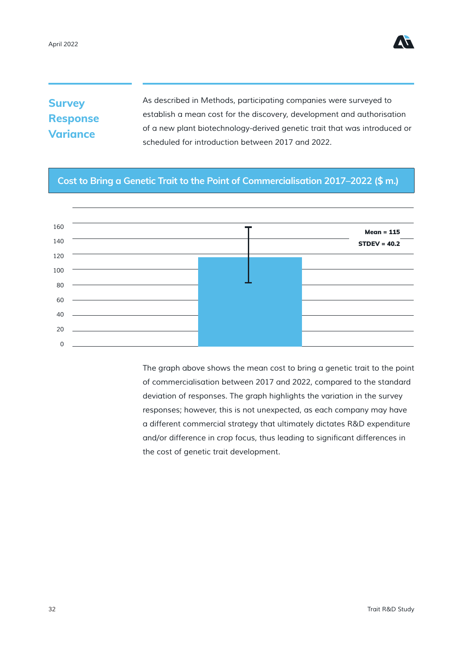

### **Survey Response Variance**

*As described in Methods, participating companies were surveyed to establish a mean cost for the discovery, development and authorisation of a new plant biotechnology-derived genetic trait that was introduced or scheduled for introduction between 2017 and 2022.*

#### **Cost to Bring a Genetic Trait to the Point of Commercialisation 2017–2022 (\$ m.)**



*The graph above shows the mean cost to bring a genetic trait to the point of commercialisation between 2017 and 2022, compared to the standard deviation of responses. The graph highlights the variation in the survey responses; however, this is not unexpected, as each company may have a different commercial strategy that ultimately dictates R&D expenditure*  and/or difference in crop focus, thus leading to significant differences in *the cost of genetic trait development.*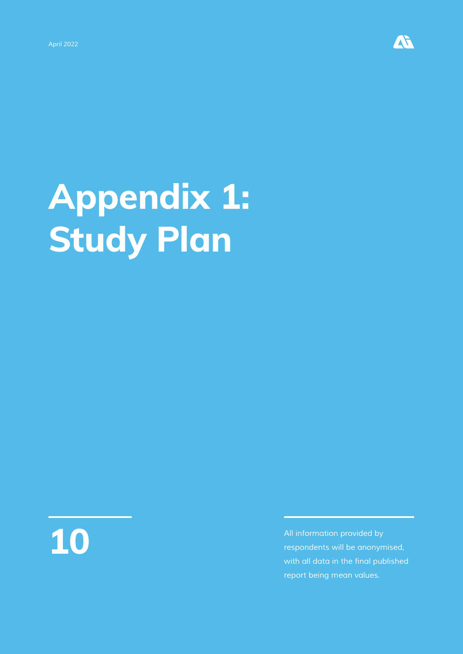

# **Appendix 1: Study Plan**



**10 All information provided by**<br>**10 All information provided by**<br>**10** *All information provided by***<br>
10 <b>***All information provided by*<br>
10 *All information provided by*<br>
10 *All information provided by respondents will be anonymised,*  with all data in the final published *report being mean values.*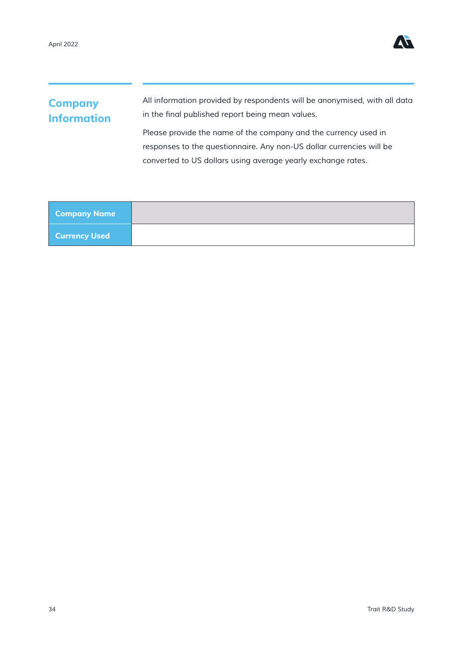

### **Company Information**

*All information provided by respondents will be anonymised, with all data*  in the final published report being mean values.

*Please provide the name of the company and the currency used in responses to the questionnaire. Any non-US dollar currencies will be converted to US dollars using average yearly exchange rates.*

| Company Name               |  |
|----------------------------|--|
| Currency Used <sup> </sup> |  |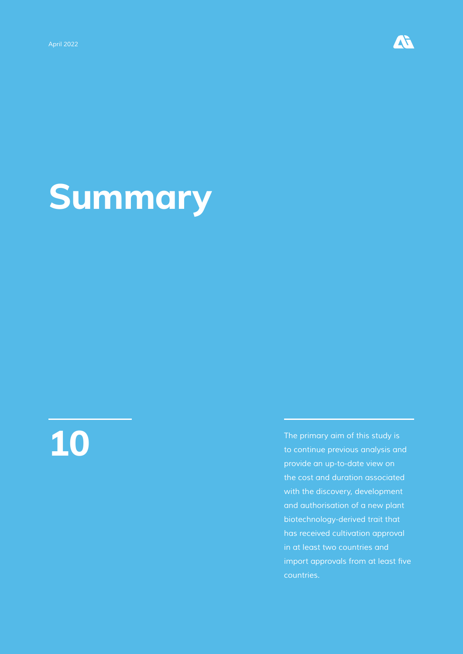

# **Summary**

**10** *The primary aim of this study is to continue previous analysis and provide an up-to-date view on the cost and duration associated with the discovery, development and authorisation of a new plant biotechnology-derived trait that has received cultivation approval in at least two countries and*  import approvals from at least five *countries.*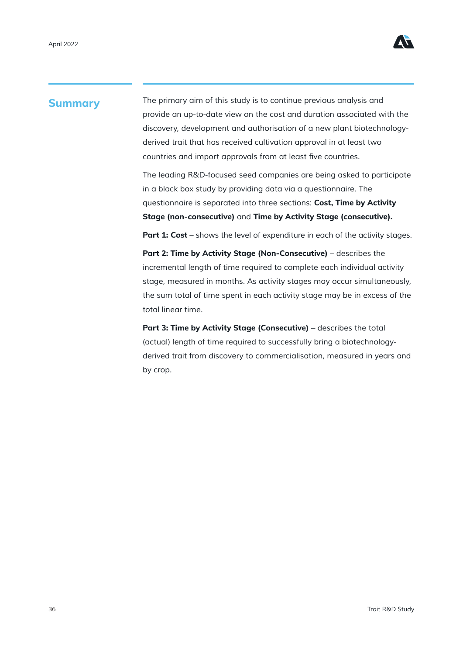

#### **Summary**

*The primary aim of this study is to continue previous analysis and provide an up-to-date view on the cost and duration associated with the discovery, development and authorisation of a new plant biotechnologyderived trait that has received cultivation approval in at least two*  countries and import approvals from at least five countries.

*The leading R&D-focused seed companies are being asked to participate in a black box study by providing data via a questionnaire. The questionnaire is separated into three sections:* **Cost, Time by Activity Stage (non-consecutive)** *and* **Time by Activity Stage (consecutive).**

**Part 1: Cost** *– shows the level of expenditure in each of the activity stages.*

**Part 2: Time by Activity Stage (Non-Consecutive)** *– describes the incremental length of time required to complete each individual activity stage, measured in months. As activity stages may occur simultaneously, the sum total of time spent in each activity stage may be in excess of the total linear time.*

**Part 3: Time by Activity Stage (Consecutive)** *– describes the total (actual) length of time required to successfully bring a biotechnologyderived trait from discovery to commercialisation, measured in years and by crop.*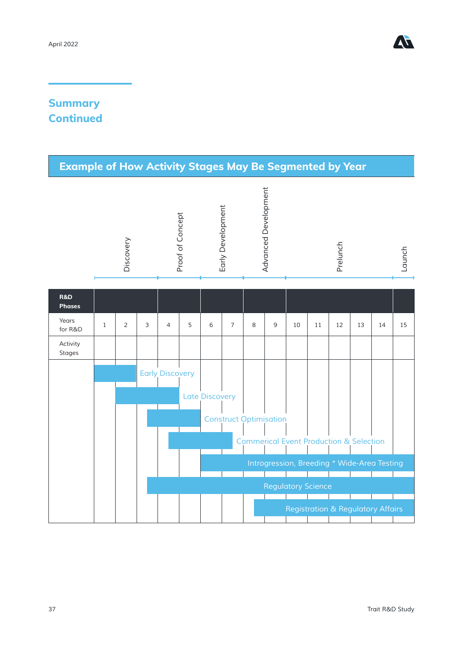

### **Summary Continued**

| <b>Example of How Activity Stages May Be Segmented by Year</b> |              |                |              |                        |                  |                       |                   |                                                    |                      |                           |    |                                              |    |    |        |
|----------------------------------------------------------------|--------------|----------------|--------------|------------------------|------------------|-----------------------|-------------------|----------------------------------------------------|----------------------|---------------------------|----|----------------------------------------------|----|----|--------|
|                                                                |              | Discovery      |              |                        | Proof of Concept |                       | Early Development |                                                    | Advanced Development |                           |    | Prelunch                                     |    |    | Launch |
| <b>R&amp;D</b><br><b>Phases</b>                                |              |                |              |                        |                  |                       |                   |                                                    |                      |                           |    |                                              |    |    |        |
| Years<br>for R&D                                               | $\mathbf{1}$ | $\overline{2}$ | $\mathsf{3}$ | $\overline{4}$         | 5                | 6                     | $\overline{7}$    | 8                                                  | $\mathsf 9$          | 10                        | 11 | 12                                           | 13 | 14 | 15     |
| Activity<br><b>Stages</b>                                      |              |                |              |                        |                  |                       |                   |                                                    |                      |                           |    |                                              |    |    |        |
|                                                                |              |                |              | <b>Early Discovery</b> |                  |                       |                   |                                                    |                      |                           |    |                                              |    |    |        |
|                                                                |              |                |              |                        |                  | <b>Late Discovery</b> |                   |                                                    |                      |                           |    |                                              |    |    |        |
|                                                                |              |                |              |                        |                  |                       |                   | <b>Construct Optimisation</b>                      |                      |                           |    |                                              |    |    |        |
|                                                                |              |                |              |                        |                  |                       |                   | <b>Commerical Event Production &amp; Selection</b> |                      |                           |    |                                              |    |    |        |
|                                                                |              |                |              |                        |                  |                       |                   |                                                    |                      |                           |    | Introgression, Breeding * Wide-Area Testing  |    |    |        |
|                                                                |              |                |              |                        |                  |                       |                   |                                                    |                      | <b>Regulatory Science</b> |    |                                              |    |    |        |
|                                                                |              |                |              |                        |                  |                       |                   |                                                    |                      |                           |    | <b>Registration &amp; Regulatory Affairs</b> |    |    |        |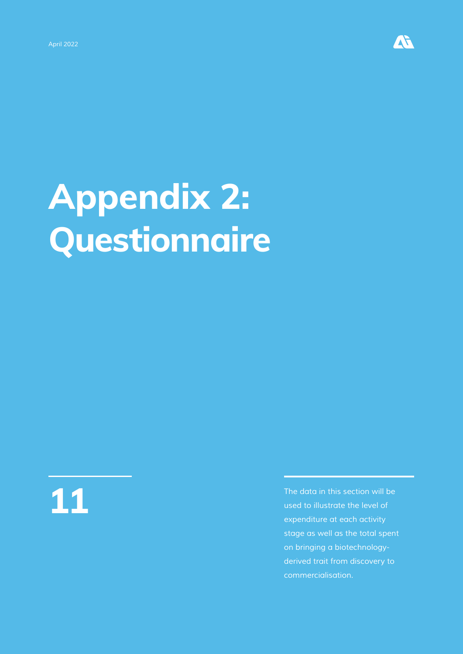

# **Appendix 2: Questionnaire**



**11** *The data in this section will be used to illustrate the level of expenditure at each activity stage as well as the total spent on bringing a biotechnologyderived trait from discovery to commercialisation.*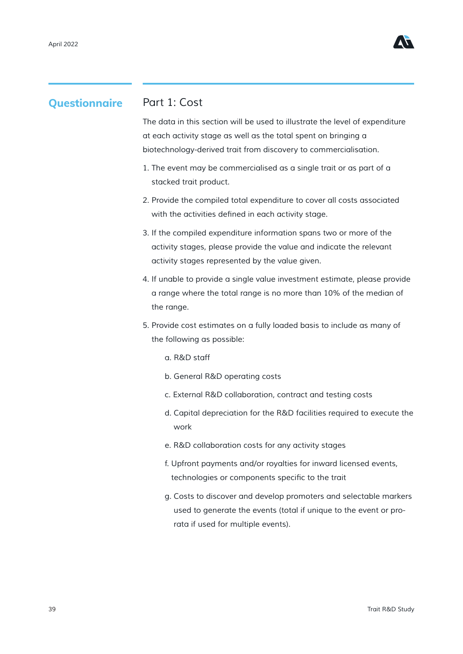

#### **Questionnaire**

#### *Part 1: Cost*

*The data in this section will be used to illustrate the level of expenditure at each activity stage as well as the total spent on bringing a biotechnology-derived trait from discovery to commercialisation.*

- *1. The event may be commercialised as a single trait or as part of a stacked trait product.*
- *2. Provide the compiled total expenditure to cover all costs associated*  with the activities defined in each activity stage.
- *3. If the compiled expenditure information spans two or more of the activity stages, please provide the value and indicate the relevant activity stages represented by the value given.*
- *4. If unable to provide a single value investment estimate, please provide a range where the total range is no more than 10% of the median of the range.*
- *5. Provide cost estimates on a fully loaded basis to include as many of the following as possible:*
	- *a. R&D staff*
	- *b. General R&D operating costs*
	- *c. External R&D collaboration, contract and testing costs*
	- *d. Capital depreciation for the R&D facilities required to execute the work*
	- *e. R&D collaboration costs for any activity stages*
	- *f. Upfront payments and/or royalties for inward licensed events,*  technologies or components specific to the trait
	- *g. Costs to discover and develop promoters and selectable markers used to generate the events (total if unique to the event or prorata if used for multiple events).*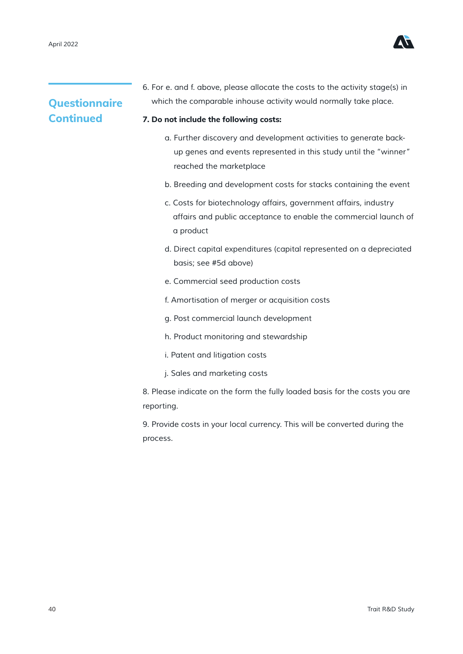

### **Questionnaire Continued**

*6. For e. and f. above, please allocate the costs to the activity stage(s) in which the comparable inhouse activity would normally take place.*

#### **7. Do not include the following costs:**

- *a. Further discovery and development activities to generate backup genes and events represented in this study until the "winner" reached the marketplace*
- *b. Breeding and development costs for stacks containing the event*
- *c. Costs for biotechnology affairs, government affairs, industry affairs and public acceptance to enable the commercial launch of a product*
- *d. Direct capital expenditures (capital represented on a depreciated basis; see #5d above)*
- *e. Commercial seed production costs*
- *f. Amortisation of merger or acquisition costs*
- *g. Post commercial launch development*
- *h. Product monitoring and stewardship*
- *i. Patent and litigation costs*
- j. Sales and marketing costs

*8. Please indicate on the form the fully loaded basis for the costs you are reporting.*

*9. Provide costs in your local currency. This will be converted during the process.*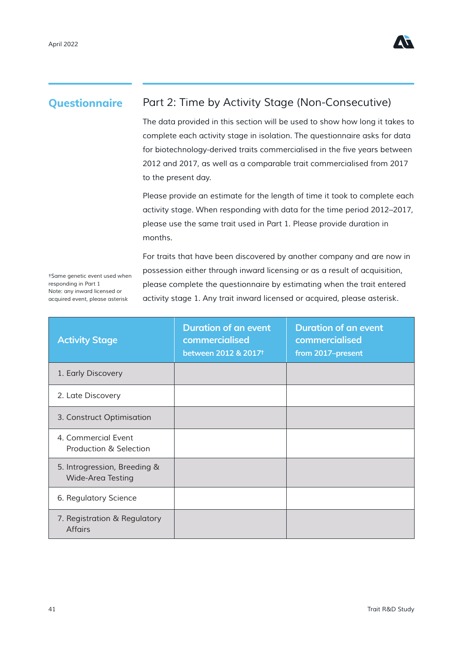

#### **Questionnaire**

### *Part 2: Time by Activity Stage (Non-Consecutive)*

*The data provided in this section will be used to show how long it takes to complete each activity stage in isolation. The questionnaire asks for data*  for biotechnology-derived traits commercialised in the five years between *2012 and 2017, as well as a comparable trait commercialised from 2017 to the present day.*

*Please provide an estimate for the length of time it took to complete each activity stage. When responding with data for the time period 2012–2017, please use the same trait used in Part 1. Please provide duration in months.*

*†Same genetic event used when responding in Part 1 Note: any inward licensed or acquired event, please asterisk*

For traits that have been discovered by another company and are now in *possession either through inward licensing or as a result of acquisition, please complete the questionnaire by estimating when the trait entered activity stage 1. Any trait inward licensed or acquired, please asterisk.*

| <b>Activity Stage</b>                                    | <b>Duration of an event</b><br>commercialised<br>between 2012 & 2017 <sup>t</sup> | <b>Duration of an event</b><br>commercialised<br>from 2017-present |
|----------------------------------------------------------|-----------------------------------------------------------------------------------|--------------------------------------------------------------------|
| 1. Early Discovery                                       |                                                                                   |                                                                    |
| 2. Late Discovery                                        |                                                                                   |                                                                    |
| 3. Construct Optimisation                                |                                                                                   |                                                                    |
| 4. Commercial Event<br>Production & Selection            |                                                                                   |                                                                    |
| 5. Introgression, Breeding &<br><b>Wide-Area Testing</b> |                                                                                   |                                                                    |
| 6. Regulatory Science                                    |                                                                                   |                                                                    |
| 7. Registration & Regulatory<br><b>Affairs</b>           |                                                                                   |                                                                    |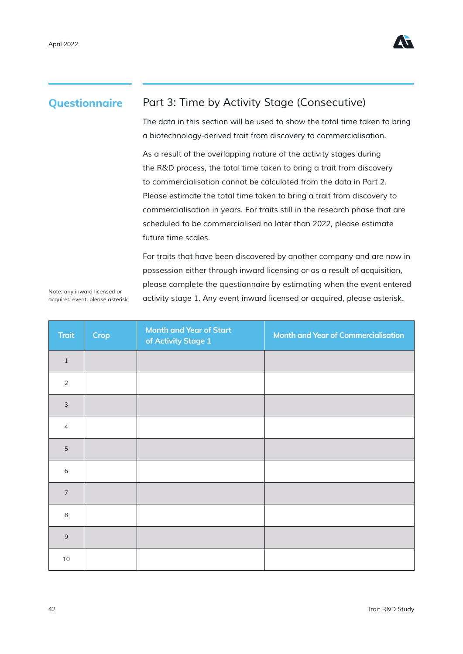

#### **Questionnaire**

#### *Part 3: Time by Activity Stage (Consecutive)*

*The data in this section will be used to show the total time taken to bring a biotechnology-derived trait from discovery to commercialisation.*

As a result of the overlapping nature of the activity stages during *the R&D process, the total time taken to bring a trait from discovery to commercialisation cannot be calculated from the data in Part 2. Please estimate the total time taken to bring a trait from discovery to commercialisation in years. For traits still in the research phase that are scheduled to be commercialised no later than 2022, please estimate future time scales.*

For traits that have been discovered by another company and are now in *possession either through inward licensing or as a result of acquisition, please complete the questionnaire by estimating when the event entered activity stage 1. Any event inward licensed or acquired, please asterisk.*

*Note: any inward licensed or acquired event, please asterisk*

| <b>Trait</b>   | Crop | <b>Month and Year of Start</b><br>of Activity Stage 1 | <b>Month and Year of Commercialisation</b> |
|----------------|------|-------------------------------------------------------|--------------------------------------------|
| $\mathbf{1}$   |      |                                                       |                                            |
| 2              |      |                                                       |                                            |
| $\mathsf 3$    |      |                                                       |                                            |
| $\overline{4}$ |      |                                                       |                                            |
| 5              |      |                                                       |                                            |
| 6              |      |                                                       |                                            |
| $\overline{7}$ |      |                                                       |                                            |
| $\,8\,$        |      |                                                       |                                            |
| 9              |      |                                                       |                                            |
| 10             |      |                                                       |                                            |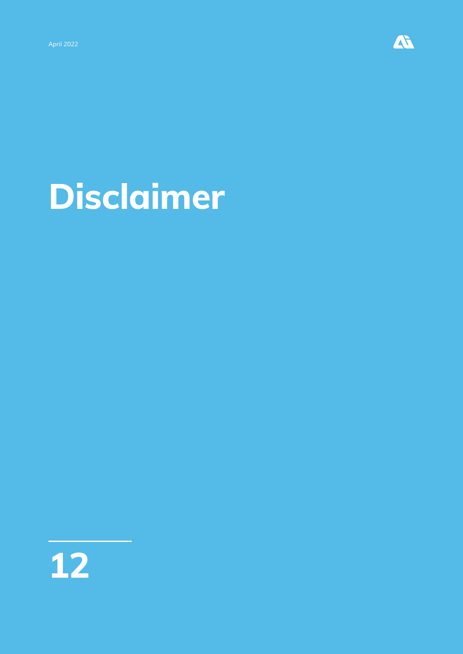

# **Disclaimer**

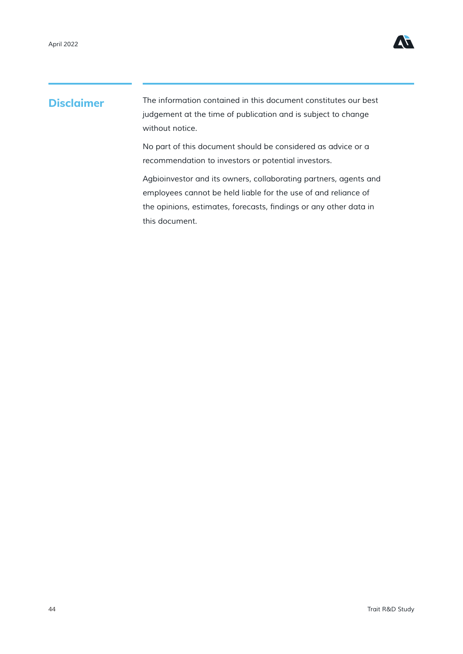

#### **Disclaimer**

*The information contained in this document constitutes our best*  judgement at the time of publication and is subject to change *without notice.*

*No part of this document should be considered as advice or a recommendation to investors or potential investors.*

*Agbioinvestor and its owners, collaborating partners, agents and employees cannot be held liable for the use of and reliance of*  the opinions, estimates, forecasts, findings or any other data in *this document.*